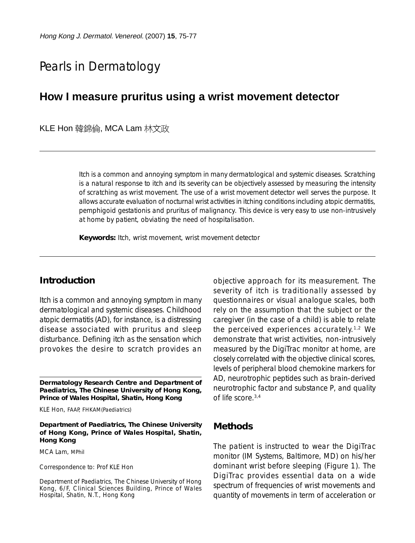# Pearls in Dermatology

## **How I measure pruritus using a wrist movement detector**

KLE Hon 韓錦倫, MCA Lam 林文政

Itch is a common and annoying symptom in many dermatological and systemic diseases. Scratching is a natural response to itch and its severity can be objectively assessed by measuring the intensity of scratching as wrist movement. The use of a wrist movement detector well serves the purpose. It allows accurate evaluation of nocturnal wrist activities in itching conditions including atopic dermatitis, pemphigoid gestationis and pruritus of malignancy. This device is very easy to use non-intrusively at home by patient, obviating the need of hospitalisation.

**Keywords:** Itch, wrist movement, wrist movement detector

### **Introduction**

Itch is a common and annoying symptom in many dermatological and systemic diseases. Childhood atopic dermatitis (AD), for instance, is a distressing disease associated with pruritus and sleep disturbance. Defining itch as the sensation which provokes the desire to scratch provides an

**Dermatology Research Centre and Department of Paediatrics, The Chinese University of Hong Kong, Prince of Wales Hospital, Shatin, Hong Kong**

KLE Hon, FAAP, FHKAM(Paediatrics)

**Department of Paediatrics, The Chinese University of Hong Kong, Prince of Wales Hospital, Shatin, Hong Kong**

MCA Lam, MPhil

Correspondence to: Prof KLE Hon

Department of Paediatrics, The Chinese University of Hong Kong, 6/F, Clinical Sciences Building, Prince of Wales Hospital, Shatin, N.T., Hong Kong

objective approach for its measurement. The severity of itch is traditionally assessed by questionnaires or visual analogue scales, both rely on the assumption that the subject or the caregiver (in the case of a child) is able to relate the perceived experiences accurately.1,2 We demonstrate that wrist activities, non-intrusively measured by the DigiTrac monitor at home, are closely correlated with the objective clinical scores, levels of peripheral blood chemokine markers for AD, neurotrophic peptides such as brain-derived neurotrophic factor and substance P, and quality of life score.<sup>3,4</sup>

#### **Methods**

The patient is instructed to wear the DigiTrac monitor (IM Systems, Baltimore, MD) on his/her dominant wrist before sleeping (Figure 1). The DigiTrac provides essential data on a wide spectrum of frequencies of wrist movements and quantity of movements in term of acceleration or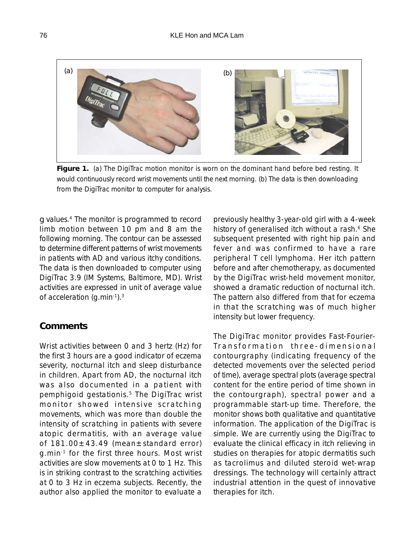

**Figure 1.** (a) The DigiTrac motion monitor is worn on the dominant hand before bed resting. It would continuously record wrist movements until the next morning. (b) The data is then downloading from the DigiTrac monitor to computer for analysis.

*g* values.4 The monitor is programmed to record limb motion between 10 pm and 8 am the following morning. The contour can be assessed to determine different patterns of wrist movements in patients with AD and various itchy conditions. The data is then downloaded to computer using DigiTrac 3.9 (IM Systems, Baltimore, MD). Wrist activities are expressed in unit of average value of acceleration (g.min-1).<sup>3</sup>

#### **Comments**

Wrist activities between 0 and 3 hertz (Hz) for the first 3 hours are a good indicator of eczema severity, nocturnal itch and sleep disturbance in children. Apart from AD, the nocturnal itch was also documented in a patient with pemphigoid gestationis.<sup>5</sup> The DigiTrac wrist monitor showed intensive scratching movements, which was more than double the intensity of scratching in patients with severe atopic dermatitis, with an average value of  $181.00 \pm 43.49$  (mean $\pm$ standard error) g.min-1 for the first three hours. Most wrist activities are slow movements at 0 to 1 Hz. This is in striking contrast to the scratching activities at 0 to 3 Hz in eczema subjects. Recently, the author also applied the monitor to evaluate a

previously healthy 3-year-old girl with a 4-week history of generalised itch without a rash.<sup>6</sup> She subsequent presented with right hip pain and fever and was confirmed to have a rare peripheral T cell lymphoma. Her itch pattern before and after chemotherapy, as documented by the DigiTrac wrist-held movement monitor, showed a dramatic reduction of nocturnal itch. The pattern also differed from that for eczema in that the scratching was of much higher intensity but lower frequency.

The DigiTrac monitor provides Fast-Fourier-Transformation three-dimensional contourgraphy (indicating frequency of the detected movements over the selected period of time), average spectral plots (average spectral content for the entire period of time shown in the contourgraph), spectral power and a programmable start-up time. Therefore, the monitor shows both qualitative and quantitative information. The application of the DigiTrac is simple. We are currently using the DigiTrac to evaluate the clinical efficacy in itch relieving in studies on therapies for atopic dermatitis such as tacrolimus and diluted steroid wet-wrap dressings. The technology will certainly attract industrial attention in the quest of innovative therapies for itch.